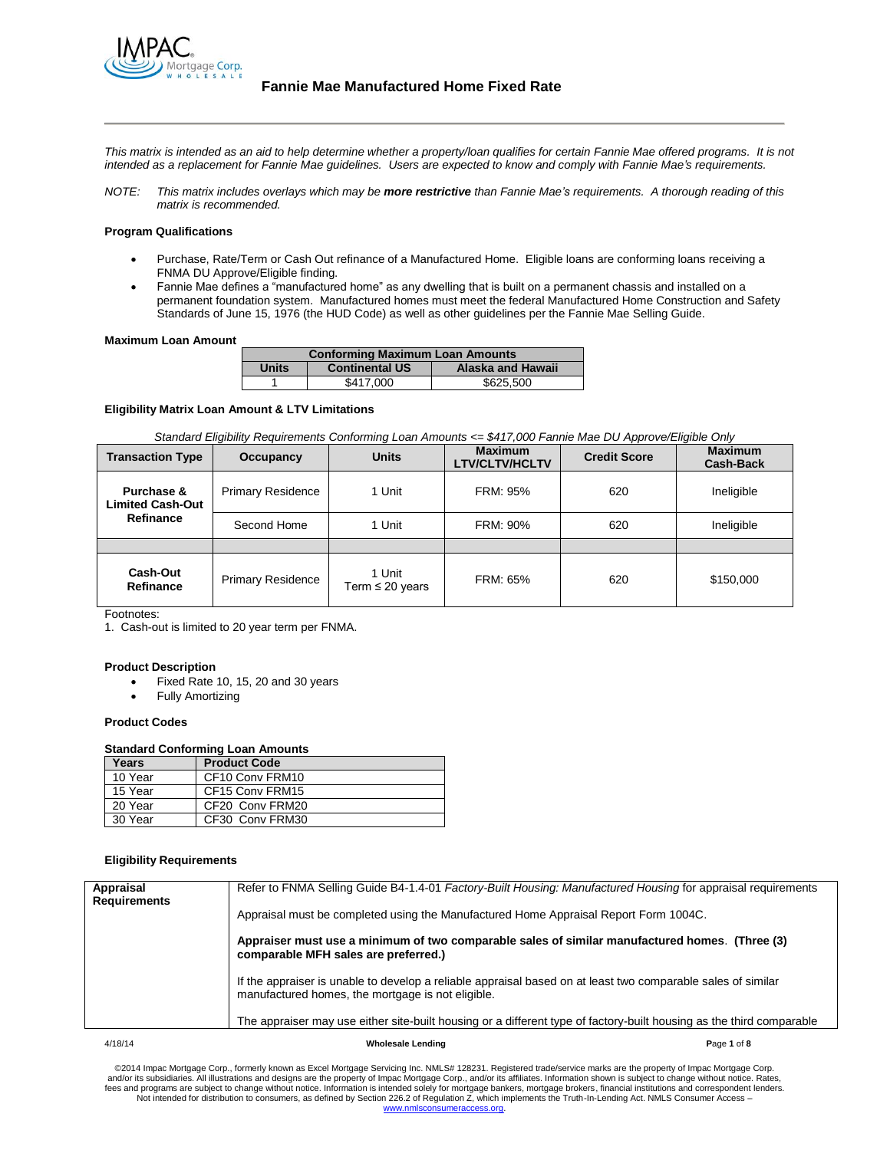

*This matrix is intended as an aid to help determine whether a property/loan qualifies for certain Fannie Mae offered programs. It is not intended as a replacement for Fannie Mae guidelines. Users are expected to know and comply with Fannie Mae's requirements.*

*NOTE: This matrix includes overlays which may be more restrictive than Fannie Mae's requirements. A thorough reading of this matrix is recommended.*

#### **Program Qualifications**

- Purchase, Rate/Term or Cash Out refinance of a Manufactured Home. Eligible loans are conforming loans receiving a FNMA DU Approve/Eligible finding.
- Fannie Mae defines a "manufactured home" as any dwelling that is built on a permanent chassis and installed on a permanent foundation system. Manufactured homes must meet the federal Manufactured Home Construction and Safety Standards of June 15, 1976 (the HUD Code) as well as other guidelines per the Fannie Mae Selling Guide.

#### **Maximum Loan Amount**

| <b>Conforming Maximum Loan Amounts</b> |                       |                          |
|----------------------------------------|-----------------------|--------------------------|
| <b>Units</b>                           | <b>Continental US</b> | <b>Alaska and Hawaii</b> |
|                                        | \$417,000             | \$625,500                |

## **Eligibility Matrix Loan Amount & LTV Limitations**

*Standard Eligibility Requirements Conforming Loan Amounts <= \$417,000 Fannie Mae DU Approve/Eligible Only* 

| <b>Transaction Type</b>               | Occupancy                | <b>Units</b>                   | <b>Maximum</b><br><b>LTV/CLTV/HCLTV</b> | <b>Credit Score</b> | <b>Maximum</b><br><b>Cash-Back</b> |
|---------------------------------------|--------------------------|--------------------------------|-----------------------------------------|---------------------|------------------------------------|
| Purchase &<br><b>Limited Cash-Out</b> | <b>Primary Residence</b> | 1 Unit                         | <b>FRM: 95%</b>                         | 620                 | Ineligible                         |
| Refinance                             | Second Home              | 1 Unit                         | FRM: 90%                                | 620                 | Ineligible                         |
|                                       |                          |                                |                                         |                     |                                    |
| Cash-Out<br>Refinance                 | <b>Primary Residence</b> | 1 Unit<br>Term $\leq 20$ years | FRM: 65%                                | 620                 | \$150,000                          |

Footnotes:

1. Cash-out is limited to 20 year term per FNMA.

#### **Product Description**

- Fixed Rate 10, 15, 20 and 30 years
- Fully Amortizing

#### **Product Codes**

## **Standard Conforming Loan Amounts**

| Years   | <b>Product Code</b> |
|---------|---------------------|
| 10 Year | CF10 Conv FRM10     |
| 15 Year | CF15 Conv FRM15     |
| 20 Year | CF20 Conv FRM20     |
| 30 Year | CF30 Conv FRM30     |

# **Eligibility Requirements**

| Refer to FNMA Selling Guide B4-1.4-01 <i>Factory-Built Housing: Manufactured Housing</i> for appraisal requirements  |
|----------------------------------------------------------------------------------------------------------------------|
|                                                                                                                      |
|                                                                                                                      |
|                                                                                                                      |
| The appraiser may use either site-built housing or a different type of factory-built housing as the third comparable |
|                                                                                                                      |

#### 4/18/14 **Wholesale Lending P**age **1** of **8**

©2014 Impac Mortgage Corp., formerly known as Excel Mortgage Servicing Inc. NMLS# 128231. Registered trade/service marks are the property of Impac Mortgage Corp.<br>The and/or its subsidiaries. All illustrations and designs Not intended for distribution to consumers, as defined by Section 226.2 of Regulation Z, which implements the Truth-In-Lending Act. NMLS Consumer Access – [www.nmlsconsumeraccess.org.](http://www.nmlsconsumeraccess.org/)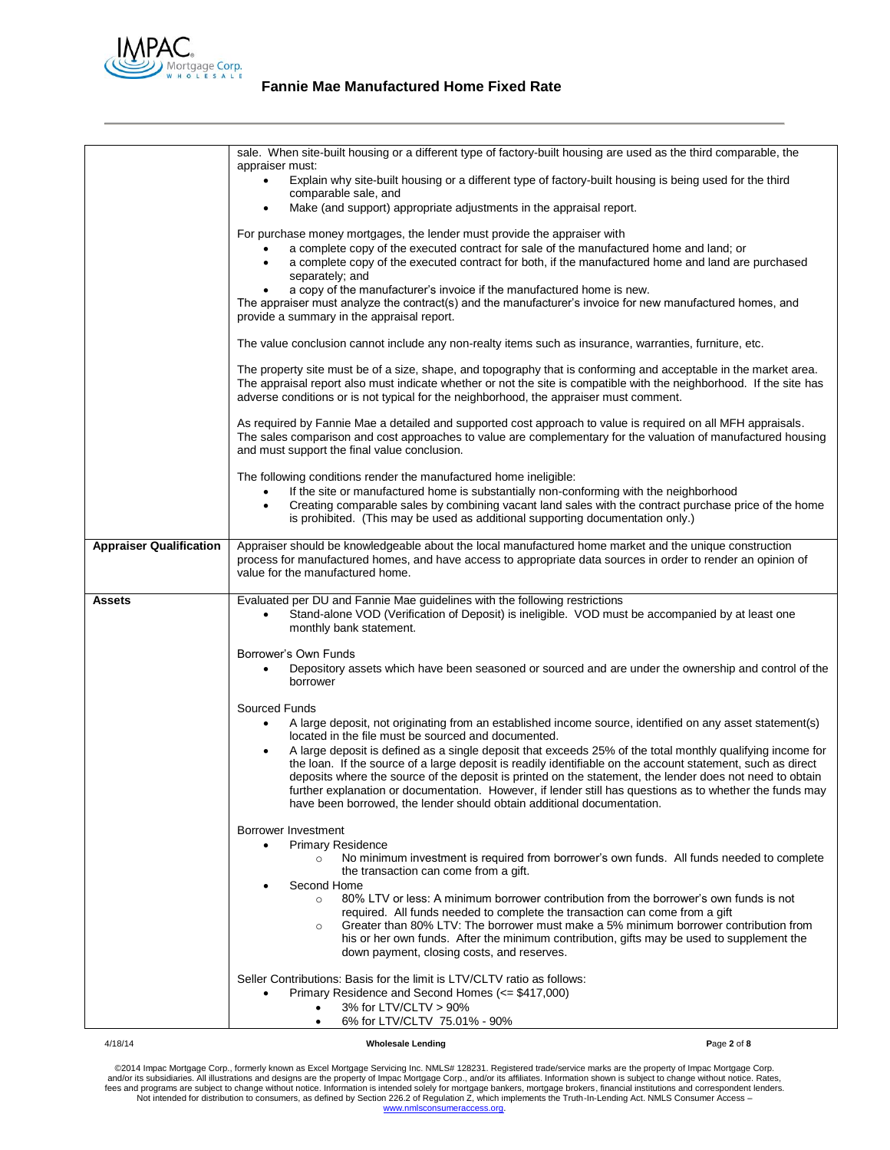

|                                | sale. When site-built housing or a different type of factory-built housing are used as the third comparable, the                                                               |             |
|--------------------------------|--------------------------------------------------------------------------------------------------------------------------------------------------------------------------------|-------------|
|                                | appraiser must:<br>Explain why site-built housing or a different type of factory-built housing is being used for the third                                                     |             |
|                                | comparable sale, and                                                                                                                                                           |             |
|                                | Make (and support) appropriate adjustments in the appraisal report.                                                                                                            |             |
|                                | For purchase money mortgages, the lender must provide the appraiser with                                                                                                       |             |
|                                | a complete copy of the executed contract for sale of the manufactured home and land; or                                                                                        |             |
|                                | a complete copy of the executed contract for both, if the manufactured home and land are purchased                                                                             |             |
|                                | separately; and<br>a copy of the manufacturer's invoice if the manufactured home is new.                                                                                       |             |
|                                | The appraiser must analyze the contract(s) and the manufacturer's invoice for new manufactured homes, and                                                                      |             |
|                                | provide a summary in the appraisal report.                                                                                                                                     |             |
|                                | The value conclusion cannot include any non-realty items such as insurance, warranties, furniture, etc.                                                                        |             |
|                                | The property site must be of a size, shape, and topography that is conforming and acceptable in the market area.                                                               |             |
|                                | The appraisal report also must indicate whether or not the site is compatible with the neighborhood. If the site has                                                           |             |
|                                | adverse conditions or is not typical for the neighborhood, the appraiser must comment.                                                                                         |             |
|                                | As required by Fannie Mae a detailed and supported cost approach to value is required on all MFH appraisals.                                                                   |             |
|                                | The sales comparison and cost approaches to value are complementary for the valuation of manufactured housing<br>and must support the final value conclusion.                  |             |
|                                |                                                                                                                                                                                |             |
|                                | The following conditions render the manufactured home ineligible:<br>If the site or manufactured home is substantially non-conforming with the neighborhood                    |             |
|                                | Creating comparable sales by combining vacant land sales with the contract purchase price of the home                                                                          |             |
|                                | is prohibited. (This may be used as additional supporting documentation only.)                                                                                                 |             |
| <b>Appraiser Qualification</b> | Appraiser should be knowledgeable about the local manufactured home market and the unique construction                                                                         |             |
|                                | process for manufactured homes, and have access to appropriate data sources in order to render an opinion of                                                                   |             |
|                                | value for the manufactured home.                                                                                                                                               |             |
| Assets                         | Evaluated per DU and Fannie Mae guidelines with the following restrictions                                                                                                     |             |
|                                | Stand-alone VOD (Verification of Deposit) is ineligible. VOD must be accompanied by at least one                                                                               |             |
|                                | monthly bank statement.                                                                                                                                                        |             |
|                                | Borrower's Own Funds                                                                                                                                                           |             |
|                                | Depository assets which have been seasoned or sourced and are under the ownership and control of the                                                                           |             |
|                                | borrower                                                                                                                                                                       |             |
|                                | Sourced Funds                                                                                                                                                                  |             |
|                                | A large deposit, not originating from an established income source, identified on any asset statement(s)                                                                       |             |
|                                | located in the file must be sourced and documented.<br>A large deposit is defined as a single deposit that exceeds 25% of the total monthly qualifying income for              |             |
|                                | the loan. If the source of a large deposit is readily identifiable on the account statement, such as direct                                                                    |             |
|                                | deposits where the source of the deposit is printed on the statement, the lender does not need to obtain                                                                       |             |
|                                | further explanation or documentation. However, if lender still has questions as to whether the funds may                                                                       |             |
|                                | have been borrowed, the lender should obtain additional documentation.                                                                                                         |             |
|                                | Borrower Investment                                                                                                                                                            |             |
|                                | <b>Primary Residence</b>                                                                                                                                                       |             |
|                                | No minimum investment is required from borrower's own funds. All funds needed to complete<br>$\circ$<br>the transaction can come from a gift.                                  |             |
|                                | Second Home                                                                                                                                                                    |             |
|                                | 80% LTV or less: A minimum borrower contribution from the borrower's own funds is not<br>$\circ$                                                                               |             |
|                                | required. All funds needed to complete the transaction can come from a gift<br>Greater than 80% LTV: The borrower must make a 5% minimum borrower contribution from<br>$\circ$ |             |
|                                | his or her own funds. After the minimum contribution, gifts may be used to supplement the                                                                                      |             |
|                                | down payment, closing costs, and reserves.                                                                                                                                     |             |
|                                | Seller Contributions: Basis for the limit is LTV/CLTV ratio as follows:                                                                                                        |             |
|                                | Primary Residence and Second Homes (<= \$417,000)                                                                                                                              |             |
|                                | 3% for LTV/CLTV > 90%                                                                                                                                                          |             |
|                                | 6% for LTV/CLTV 75.01% - 90%<br>$\bullet$                                                                                                                                      |             |
| 4/18/14                        | Wholesale Lending                                                                                                                                                              | Page 2 of 8 |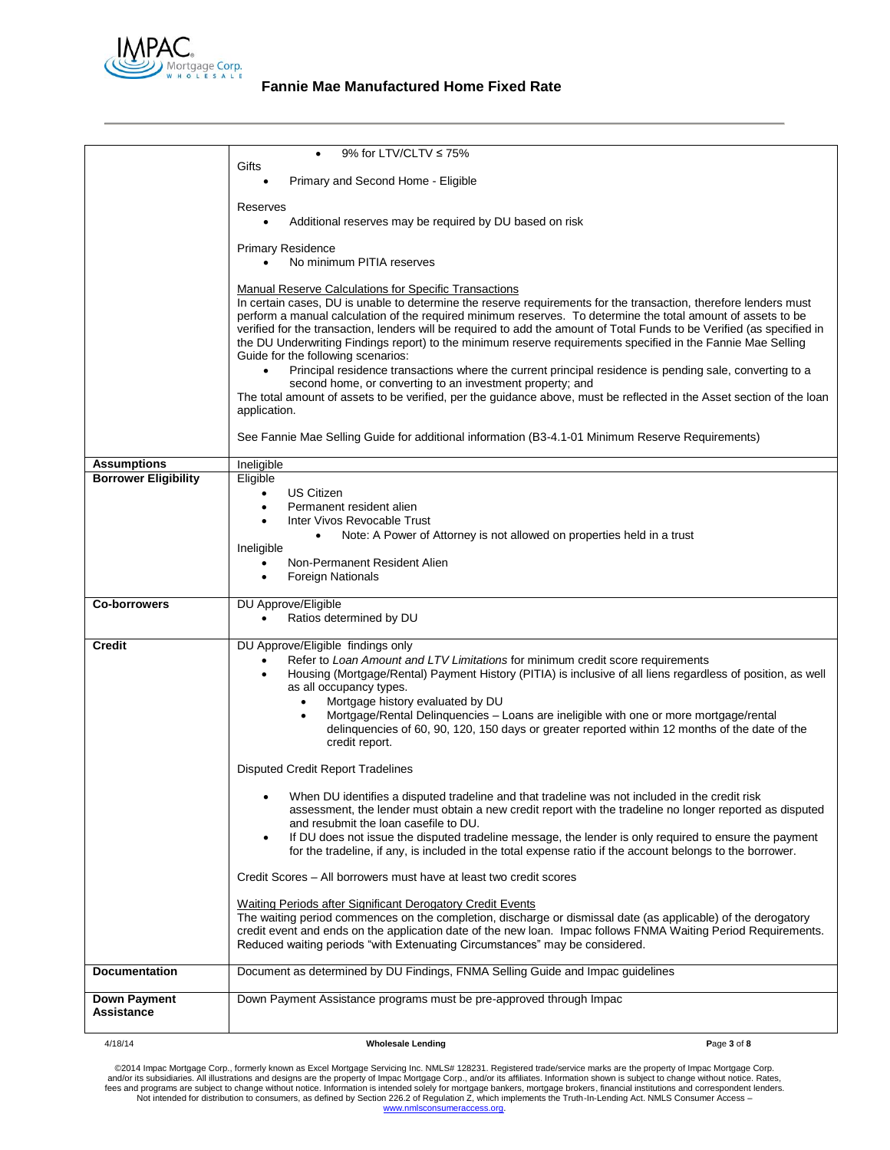

# **Fannie Mae Manufactured Home Fixed Rate**

|                                                   | 9% for LTV/CLTV ≤ 75%<br>Gifts                                                                                                                                                                                                                                                                                                                                                                                                                                                                                                                                                                                                                                                                                                                                                                                                                                                                                                                                                                                      |             |
|---------------------------------------------------|---------------------------------------------------------------------------------------------------------------------------------------------------------------------------------------------------------------------------------------------------------------------------------------------------------------------------------------------------------------------------------------------------------------------------------------------------------------------------------------------------------------------------------------------------------------------------------------------------------------------------------------------------------------------------------------------------------------------------------------------------------------------------------------------------------------------------------------------------------------------------------------------------------------------------------------------------------------------------------------------------------------------|-------------|
|                                                   | Primary and Second Home - Eligible                                                                                                                                                                                                                                                                                                                                                                                                                                                                                                                                                                                                                                                                                                                                                                                                                                                                                                                                                                                  |             |
|                                                   | Reserves                                                                                                                                                                                                                                                                                                                                                                                                                                                                                                                                                                                                                                                                                                                                                                                                                                                                                                                                                                                                            |             |
|                                                   | Additional reserves may be required by DU based on risk<br>$\bullet$                                                                                                                                                                                                                                                                                                                                                                                                                                                                                                                                                                                                                                                                                                                                                                                                                                                                                                                                                |             |
|                                                   | <b>Primary Residence</b><br>No minimum PITIA reserves                                                                                                                                                                                                                                                                                                                                                                                                                                                                                                                                                                                                                                                                                                                                                                                                                                                                                                                                                               |             |
|                                                   | <b>Manual Reserve Calculations for Specific Transactions</b><br>In certain cases, DU is unable to determine the reserve requirements for the transaction, therefore lenders must<br>perform a manual calculation of the required minimum reserves. To determine the total amount of assets to be<br>verified for the transaction, lenders will be required to add the amount of Total Funds to be Verified (as specified in<br>the DU Underwriting Findings report) to the minimum reserve requirements specified in the Fannie Mae Selling<br>Guide for the following scenarios:<br>Principal residence transactions where the current principal residence is pending sale, converting to a<br>$\bullet$<br>second home, or converting to an investment property; and<br>The total amount of assets to be verified, per the guidance above, must be reflected in the Asset section of the loan<br>application.<br>See Fannie Mae Selling Guide for additional information (B3-4.1-01 Minimum Reserve Requirements) |             |
|                                                   |                                                                                                                                                                                                                                                                                                                                                                                                                                                                                                                                                                                                                                                                                                                                                                                                                                                                                                                                                                                                                     |             |
| <b>Assumptions</b><br><b>Borrower Eligibility</b> | Ineligible<br>Eligible                                                                                                                                                                                                                                                                                                                                                                                                                                                                                                                                                                                                                                                                                                                                                                                                                                                                                                                                                                                              |             |
|                                                   | <b>US Citizen</b><br>$\bullet$                                                                                                                                                                                                                                                                                                                                                                                                                                                                                                                                                                                                                                                                                                                                                                                                                                                                                                                                                                                      |             |
|                                                   | Permanent resident alien<br>Inter Vivos Revocable Trust                                                                                                                                                                                                                                                                                                                                                                                                                                                                                                                                                                                                                                                                                                                                                                                                                                                                                                                                                             |             |
|                                                   | Note: A Power of Attorney is not allowed on properties held in a trust<br>$\bullet$                                                                                                                                                                                                                                                                                                                                                                                                                                                                                                                                                                                                                                                                                                                                                                                                                                                                                                                                 |             |
|                                                   | Ineligible<br>Non-Permanent Resident Alien<br>٠                                                                                                                                                                                                                                                                                                                                                                                                                                                                                                                                                                                                                                                                                                                                                                                                                                                                                                                                                                     |             |
|                                                   | <b>Foreign Nationals</b>                                                                                                                                                                                                                                                                                                                                                                                                                                                                                                                                                                                                                                                                                                                                                                                                                                                                                                                                                                                            |             |
| <b>Co-borrowers</b>                               | DU Approve/Eligible<br>Ratios determined by DU                                                                                                                                                                                                                                                                                                                                                                                                                                                                                                                                                                                                                                                                                                                                                                                                                                                                                                                                                                      |             |
| Credit                                            | DU Approve/Eligible findings only<br>Refer to Loan Amount and LTV Limitations for minimum credit score requirements<br>Housing (Mortgage/Rental) Payment History (PITIA) is inclusive of all liens regardless of position, as well<br>$\bullet$<br>as all occupancy types.<br>Mortgage history evaluated by DU<br>$\bullet$<br>Mortgage/Rental Delinquencies - Loans are ineligible with one or more mortgage/rental<br>$\bullet$<br>delinquencies of 60, 90, 120, 150 days or greater reported within 12 months of the date of the<br>credit report.                                                                                                                                                                                                                                                                                                                                                                                                                                                               |             |
|                                                   | <b>Disputed Credit Report Tradelines</b>                                                                                                                                                                                                                                                                                                                                                                                                                                                                                                                                                                                                                                                                                                                                                                                                                                                                                                                                                                            |             |
|                                                   | When DU identifies a disputed tradeline and that tradeline was not included in the credit risk<br>assessment, the lender must obtain a new credit report with the tradeline no longer reported as disputed<br>and resubmit the loan casefile to DU.<br>If DU does not issue the disputed tradeline message, the lender is only required to ensure the payment<br>for the tradeline, if any, is included in the total expense ratio if the account belongs to the borrower.                                                                                                                                                                                                                                                                                                                                                                                                                                                                                                                                          |             |
|                                                   | Credit Scores - All borrowers must have at least two credit scores                                                                                                                                                                                                                                                                                                                                                                                                                                                                                                                                                                                                                                                                                                                                                                                                                                                                                                                                                  |             |
|                                                   | <b>Waiting Periods after Significant Derogatory Credit Events</b>                                                                                                                                                                                                                                                                                                                                                                                                                                                                                                                                                                                                                                                                                                                                                                                                                                                                                                                                                   |             |
|                                                   | The waiting period commences on the completion, discharge or dismissal date (as applicable) of the derogatory<br>credit event and ends on the application date of the new loan. Impac follows FNMA Waiting Period Requirements.<br>Reduced waiting periods "with Extenuating Circumstances" may be considered.                                                                                                                                                                                                                                                                                                                                                                                                                                                                                                                                                                                                                                                                                                      |             |
| <b>Documentation</b>                              | Document as determined by DU Findings, FNMA Selling Guide and Impac guidelines                                                                                                                                                                                                                                                                                                                                                                                                                                                                                                                                                                                                                                                                                                                                                                                                                                                                                                                                      |             |
| <b>Down Payment</b><br>Assistance                 | Down Payment Assistance programs must be pre-approved through Impac                                                                                                                                                                                                                                                                                                                                                                                                                                                                                                                                                                                                                                                                                                                                                                                                                                                                                                                                                 |             |
| 4/18/14                                           | <b>Wholesale Lending</b>                                                                                                                                                                                                                                                                                                                                                                                                                                                                                                                                                                                                                                                                                                                                                                                                                                                                                                                                                                                            | Page 3 of 8 |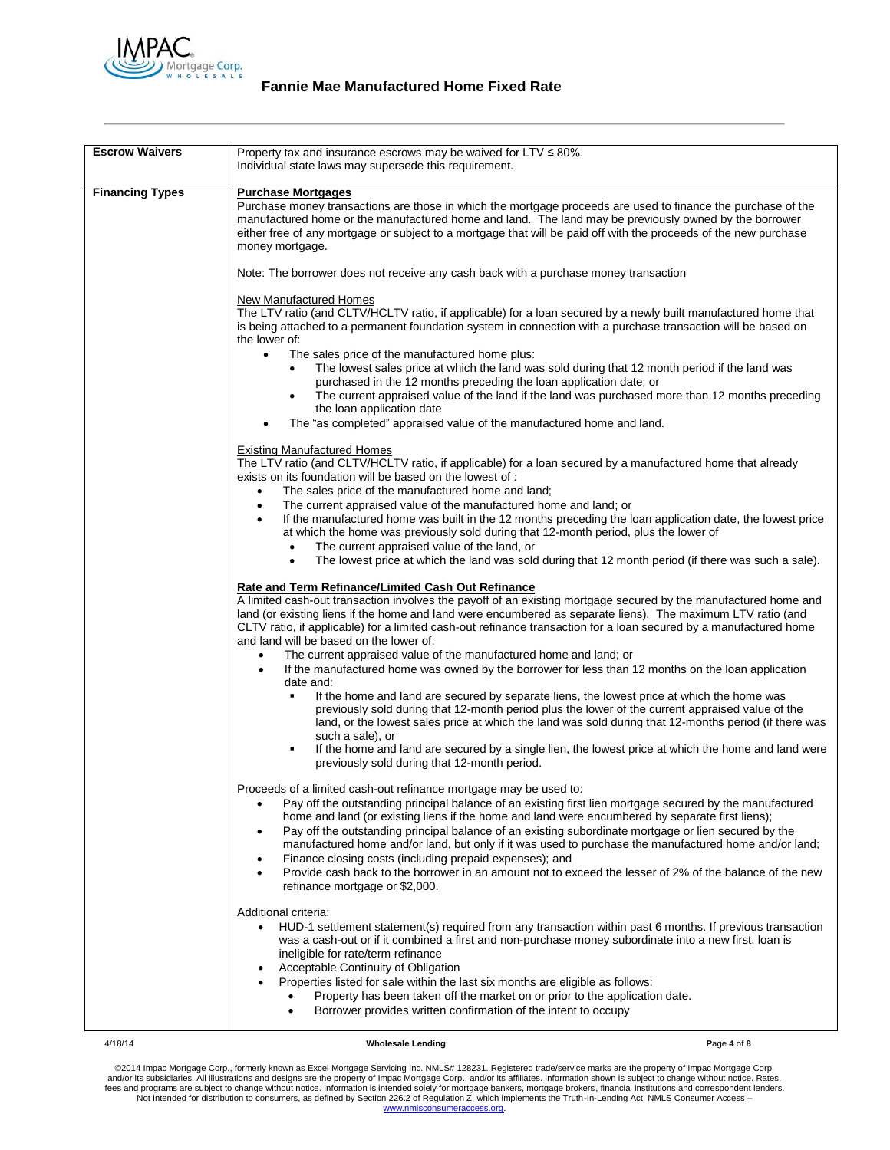

| <b>Escrow Waivers</b>  | Property tax and insurance escrows may be waived for LTV ≤ 80%.<br>Individual state laws may supersede this requirement.                                                                                       |
|------------------------|----------------------------------------------------------------------------------------------------------------------------------------------------------------------------------------------------------------|
| <b>Financing Types</b> | <b>Purchase Mortgages</b>                                                                                                                                                                                      |
|                        | Purchase money transactions are those in which the mortgage proceeds are used to finance the purchase of the                                                                                                   |
|                        | manufactured home or the manufactured home and land. The land may be previously owned by the borrower                                                                                                          |
|                        | either free of any mortgage or subject to a mortgage that will be paid off with the proceeds of the new purchase                                                                                               |
|                        | money mortgage.                                                                                                                                                                                                |
|                        |                                                                                                                                                                                                                |
|                        | Note: The borrower does not receive any cash back with a purchase money transaction                                                                                                                            |
|                        | New Manufactured Homes                                                                                                                                                                                         |
|                        | The LTV ratio (and CLTV/HCLTV ratio, if applicable) for a loan secured by a newly built manufactured home that                                                                                                 |
|                        | is being attached to a permanent foundation system in connection with a purchase transaction will be based on                                                                                                  |
|                        | the lower of:                                                                                                                                                                                                  |
|                        | The sales price of the manufactured home plus:<br>$\bullet$                                                                                                                                                    |
|                        | The lowest sales price at which the land was sold during that 12 month period if the land was                                                                                                                  |
|                        | purchased in the 12 months preceding the loan application date; or                                                                                                                                             |
|                        | The current appraised value of the land if the land was purchased more than 12 months preceding<br>$\bullet$<br>the loan application date                                                                      |
|                        | The "as completed" appraised value of the manufactured home and land.                                                                                                                                          |
|                        |                                                                                                                                                                                                                |
|                        | <b>Existing Manufactured Homes</b>                                                                                                                                                                             |
|                        | The LTV ratio (and CLTV/HCLTV ratio, if applicable) for a loan secured by a manufactured home that already                                                                                                     |
|                        | exists on its foundation will be based on the lowest of :                                                                                                                                                      |
|                        | The sales price of the manufactured home and land;<br>$\bullet$                                                                                                                                                |
|                        | The current appraised value of the manufactured home and land; or<br>$\bullet$                                                                                                                                 |
|                        | If the manufactured home was built in the 12 months preceding the loan application date, the lowest price<br>$\bullet$<br>at which the home was previously sold during that 12-month period, plus the lower of |
|                        | The current appraised value of the land, or<br>$\bullet$                                                                                                                                                       |
|                        | The lowest price at which the land was sold during that 12 month period (if there was such a sale).<br>$\bullet$                                                                                               |
|                        |                                                                                                                                                                                                                |
|                        | Rate and Term Refinance/Limited Cash Out Refinance                                                                                                                                                             |
|                        | A limited cash-out transaction involves the payoff of an existing mortgage secured by the manufactured home and                                                                                                |
|                        | land (or existing liens if the home and land were encumbered as separate liens). The maximum LTV ratio (and                                                                                                    |
|                        | CLTV ratio, if applicable) for a limited cash-out refinance transaction for a loan secured by a manufactured home<br>and land will be based on the lower of:                                                   |
|                        | The current appraised value of the manufactured home and land; or<br>$\bullet$                                                                                                                                 |
|                        | If the manufactured home was owned by the borrower for less than 12 months on the loan application<br>$\bullet$                                                                                                |
|                        | date and:                                                                                                                                                                                                      |
|                        | If the home and land are secured by separate liens, the lowest price at which the home was                                                                                                                     |
|                        | previously sold during that 12-month period plus the lower of the current appraised value of the                                                                                                               |
|                        | land, or the lowest sales price at which the land was sold during that 12-months period (if there was                                                                                                          |
|                        | such a sale), or                                                                                                                                                                                               |
|                        | If the home and land are secured by a single lien, the lowest price at which the home and land were<br>٠<br>previously sold during that 12-month period.                                                       |
|                        |                                                                                                                                                                                                                |
|                        | Proceeds of a limited cash-out refinance mortgage may be used to:                                                                                                                                              |
|                        | Pay off the outstanding principal balance of an existing first lien mortgage secured by the manufactured                                                                                                       |
|                        | home and land (or existing liens if the home and land were encumbered by separate first liens);                                                                                                                |
|                        | Pay off the outstanding principal balance of an existing subordinate mortgage or lien secured by the<br>$\bullet$                                                                                              |
|                        | manufactured home and/or land, but only if it was used to purchase the manufactured home and/or land;                                                                                                          |
|                        | Finance closing costs (including prepaid expenses); and<br>$\bullet$<br>Provide cash back to the borrower in an amount not to exceed the lesser of 2% of the balance of the new<br>$\bullet$                   |
|                        | refinance mortgage or \$2,000.                                                                                                                                                                                 |
|                        |                                                                                                                                                                                                                |
|                        | Additional criteria:                                                                                                                                                                                           |
|                        | HUD-1 settlement statement(s) required from any transaction within past 6 months. If previous transaction<br>$\bullet$                                                                                         |
|                        | was a cash-out or if it combined a first and non-purchase money subordinate into a new first, loan is                                                                                                          |
|                        | ineligible for rate/term refinance                                                                                                                                                                             |
|                        | <b>Acceptable Continuity of Obligation</b><br>$\bullet$<br>Properties listed for sale within the last six months are eligible as follows:                                                                      |
|                        | Property has been taken off the market on or prior to the application date.<br>$\bullet$                                                                                                                       |
|                        | Borrower provides written confirmation of the intent to occupy<br>$\bullet$                                                                                                                                    |
|                        |                                                                                                                                                                                                                |

4/18/14 **Wholesale Lending P**age **4** of **8**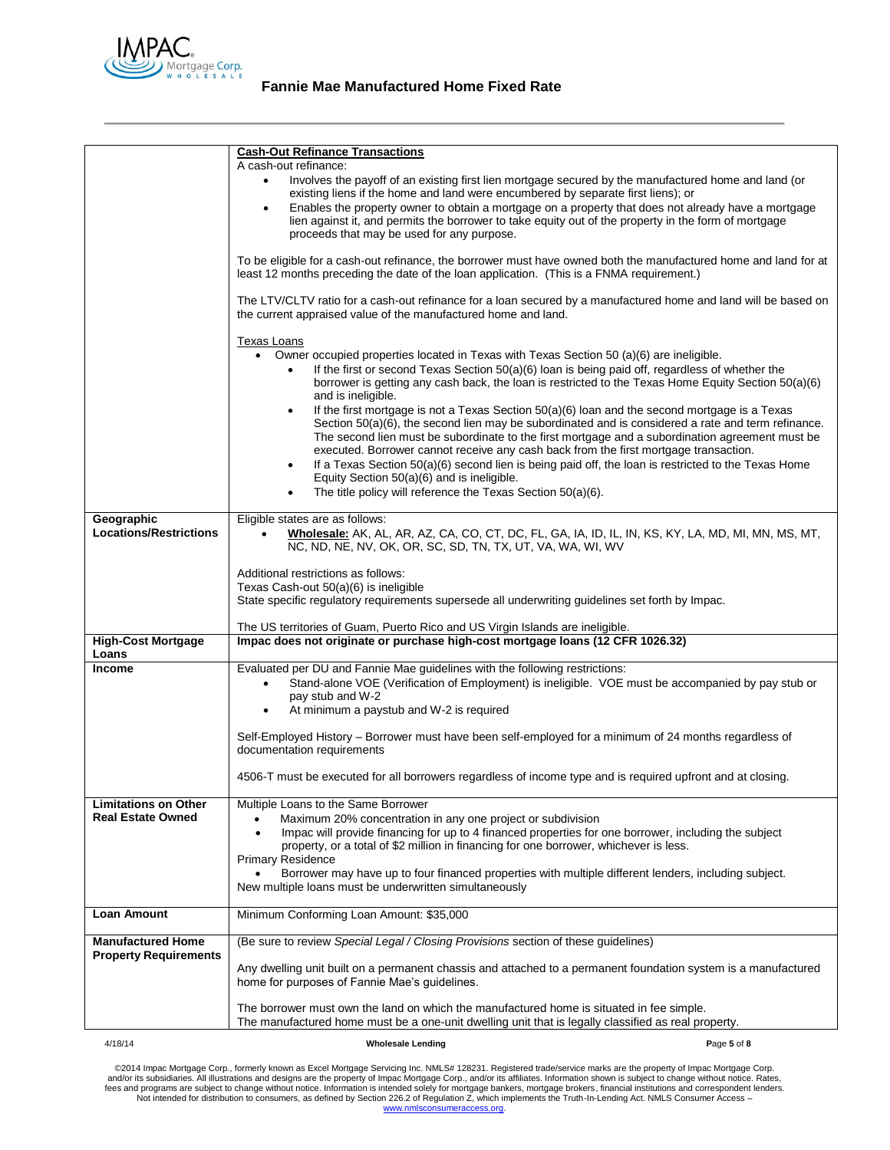

|                               | <b>Cash-Out Refinance Transactions</b>                                                                                                                                                                        |                                                                                                                                                                                                        |
|-------------------------------|---------------------------------------------------------------------------------------------------------------------------------------------------------------------------------------------------------------|--------------------------------------------------------------------------------------------------------------------------------------------------------------------------------------------------------|
|                               | A cash-out refinance:                                                                                                                                                                                         |                                                                                                                                                                                                        |
|                               | Involves the payoff of an existing first lien mortgage secured by the manufactured home and land (or<br>$\bullet$<br>existing liens if the home and land were encumbered by separate first liens); or         |                                                                                                                                                                                                        |
|                               |                                                                                                                                                                                                               | Enables the property owner to obtain a mortgage on a property that does not already have a mortgage                                                                                                    |
|                               | lien against it, and permits the borrower to take equity out of the property in the form of mortgage<br>proceeds that may be used for any purpose.                                                            |                                                                                                                                                                                                        |
|                               |                                                                                                                                                                                                               |                                                                                                                                                                                                        |
|                               | To be eligible for a cash-out refinance, the borrower must have owned both the manufactured home and land for at<br>least 12 months preceding the date of the loan application. (This is a FNMA requirement.) |                                                                                                                                                                                                        |
|                               | The LTV/CLTV ratio for a cash-out refinance for a loan secured by a manufactured home and land will be based on<br>the current appraised value of the manufactured home and land.                             |                                                                                                                                                                                                        |
|                               | <b>Texas Loans</b>                                                                                                                                                                                            |                                                                                                                                                                                                        |
|                               | Owner occupied properties located in Texas with Texas Section 50 (a)(6) are ineligible.                                                                                                                       |                                                                                                                                                                                                        |
|                               | If the first or second Texas Section 50(a)(6) loan is being paid off, regardless of whether the<br>$\bullet$                                                                                                  | borrower is getting any cash back, the loan is restricted to the Texas Home Equity Section 50(a)(6)                                                                                                    |
|                               | and is ineligible.                                                                                                                                                                                            |                                                                                                                                                                                                        |
|                               | $\bullet$                                                                                                                                                                                                     | If the first mortgage is not a Texas Section 50(a)(6) loan and the second mortgage is a Texas<br>Section $50(a)(6)$ , the second lien may be subordinated and is considered a rate and term refinance. |
|                               |                                                                                                                                                                                                               | The second lien must be subordinate to the first mortgage and a subordination agreement must be                                                                                                        |
|                               | executed. Borrower cannot receive any cash back from the first mortgage transaction.<br>$\bullet$                                                                                                             | If a Texas Section 50(a)(6) second lien is being paid off, the loan is restricted to the Texas Home                                                                                                    |
|                               | Equity Section 50(a)(6) and is ineligible.                                                                                                                                                                    |                                                                                                                                                                                                        |
|                               | The title policy will reference the Texas Section 50(a)(6).<br>٠                                                                                                                                              |                                                                                                                                                                                                        |
| Geographic                    | Eligible states are as follows:                                                                                                                                                                               |                                                                                                                                                                                                        |
| <b>Locations/Restrictions</b> |                                                                                                                                                                                                               | Wholesale: AK, AL, AR, AZ, CA, CO, CT, DC, FL, GA, IA, ID, IL, IN, KS, KY, LA, MD, MI, MN, MS, MT,                                                                                                     |
|                               | NC, ND, NE, NV, OK, OR, SC, SD, TN, TX, UT, VA, WA, WI, WV                                                                                                                                                    |                                                                                                                                                                                                        |
|                               | Additional restrictions as follows:                                                                                                                                                                           |                                                                                                                                                                                                        |
|                               | Texas Cash-out 50(a)(6) is ineligible<br>State specific regulatory requirements supersede all underwriting guidelines set forth by Impac.                                                                     |                                                                                                                                                                                                        |
|                               |                                                                                                                                                                                                               |                                                                                                                                                                                                        |
| <b>High-Cost Mortgage</b>     | The US territories of Guam, Puerto Rico and US Virgin Islands are ineligible.<br>Impac does not originate or purchase high-cost mortgage loans (12 CFR 1026.32)                                               |                                                                                                                                                                                                        |
| Loans                         |                                                                                                                                                                                                               |                                                                                                                                                                                                        |
| <b>Income</b>                 | Evaluated per DU and Fannie Mae guidelines with the following restrictions:<br>$\bullet$                                                                                                                      | Stand-alone VOE (Verification of Employment) is ineligible. VOE must be accompanied by pay stub or                                                                                                     |
|                               | pay stub and W-2                                                                                                                                                                                              |                                                                                                                                                                                                        |
|                               | At minimum a paystub and W-2 is required<br>$\bullet$                                                                                                                                                         |                                                                                                                                                                                                        |
|                               | Self-Employed History - Borrower must have been self-employed for a minimum of 24 months regardless of                                                                                                        |                                                                                                                                                                                                        |
|                               | documentation requirements                                                                                                                                                                                    |                                                                                                                                                                                                        |
|                               | 4506-T must be executed for all borrowers regardless of income type and is required upfront and at closing.                                                                                                   |                                                                                                                                                                                                        |
| <b>Limitations on Other</b>   | Multiple Loans to the Same Borrower                                                                                                                                                                           |                                                                                                                                                                                                        |
| <b>Real Estate Owned</b>      | Maximum 20% concentration in any one project or subdivision                                                                                                                                                   |                                                                                                                                                                                                        |
|                               | Impac will provide financing for up to 4 financed properties for one borrower, including the subject<br>$\bullet$<br>property, or a total of \$2 million in financing for one borrower, whichever is less.    |                                                                                                                                                                                                        |
|                               | Primary Residence                                                                                                                                                                                             |                                                                                                                                                                                                        |
|                               | Borrower may have up to four financed properties with multiple different lenders, including subject.<br>New multiple loans must be underwritten simultaneously                                                |                                                                                                                                                                                                        |
|                               |                                                                                                                                                                                                               |                                                                                                                                                                                                        |
| <b>Loan Amount</b>            | Minimum Conforming Loan Amount: \$35,000                                                                                                                                                                      |                                                                                                                                                                                                        |
| <b>Manufactured Home</b>      | (Be sure to review Special Legal / Closing Provisions section of these guidelines)                                                                                                                            |                                                                                                                                                                                                        |
| <b>Property Requirements</b>  | Any dwelling unit built on a permanent chassis and attached to a permanent foundation system is a manufactured<br>home for purposes of Fannie Mae's guidelines.                                               |                                                                                                                                                                                                        |
|                               | The borrower must own the land on which the manufactured home is situated in fee simple.<br>The manufactured home must be a one-unit dwelling unit that is legally classified as real property.               |                                                                                                                                                                                                        |
| 4/18/14                       | <b>Wholesale Lending</b>                                                                                                                                                                                      | Page 5 of 8                                                                                                                                                                                            |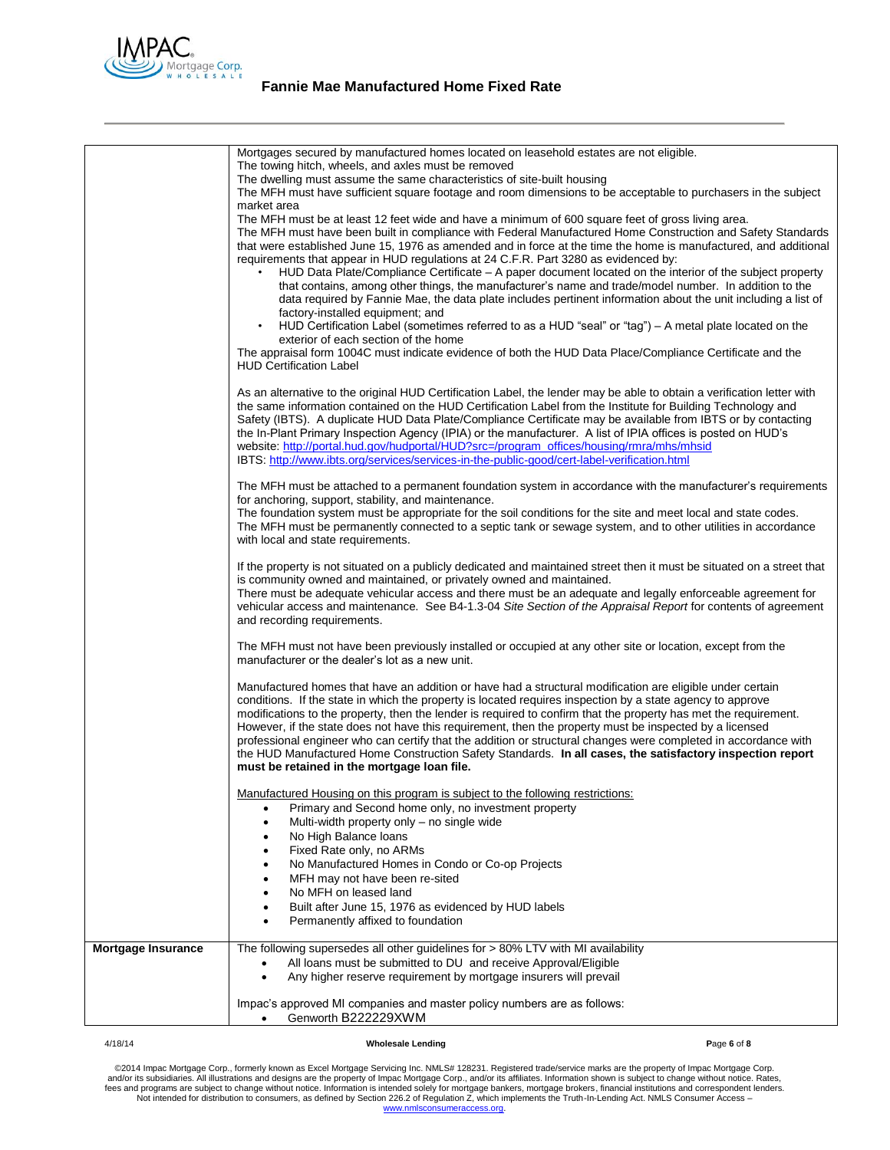

|                           | Mortgages secured by manufactured homes located on leasehold estates are not eligible.<br>The towing hitch, wheels, and axles must be removed<br>The dwelling must assume the same characteristics of site-built housing<br>The MFH must have sufficient square footage and room dimensions to be acceptable to purchasers in the subject<br>market area<br>The MFH must be at least 12 feet wide and have a minimum of 600 square feet of gross living area.<br>The MFH must have been built in compliance with Federal Manufactured Home Construction and Safety Standards<br>that were established June 15, 1976 as amended and in force at the time the home is manufactured, and additional<br>requirements that appear in HUD regulations at 24 C.F.R. Part 3280 as evidenced by:<br>HUD Data Plate/Compliance Certificate – A paper document located on the interior of the subject property<br>that contains, among other things, the manufacturer's name and trade/model number. In addition to the<br>data required by Fannie Mae, the data plate includes pertinent information about the unit including a list of<br>factory-installed equipment; and<br>HUD Certification Label (sometimes referred to as a HUD "seal" or "tag") – A metal plate located on the<br>exterior of each section of the home<br>The appraisal form 1004C must indicate evidence of both the HUD Data Place/Compliance Certificate and the<br><b>HUD Certification Label</b> |
|---------------------------|---------------------------------------------------------------------------------------------------------------------------------------------------------------------------------------------------------------------------------------------------------------------------------------------------------------------------------------------------------------------------------------------------------------------------------------------------------------------------------------------------------------------------------------------------------------------------------------------------------------------------------------------------------------------------------------------------------------------------------------------------------------------------------------------------------------------------------------------------------------------------------------------------------------------------------------------------------------------------------------------------------------------------------------------------------------------------------------------------------------------------------------------------------------------------------------------------------------------------------------------------------------------------------------------------------------------------------------------------------------------------------------------------------------------------------------------------------------------|
|                           | As an alternative to the original HUD Certification Label, the lender may be able to obtain a verification letter with<br>the same information contained on the HUD Certification Label from the Institute for Building Technology and<br>Safety (IBTS). A duplicate HUD Data Plate/Compliance Certificate may be available from IBTS or by contacting<br>the In-Plant Primary Inspection Agency (IPIA) or the manufacturer. A list of IPIA offices is posted on HUD's<br>website: http://portal.hud.gov/hudportal/HUD?src=/program_offices/housing/rmra/mhs/mhsid<br>IBTS: http://www.ibts.org/services/services-in-the-public-good/cert-label-verification.html                                                                                                                                                                                                                                                                                                                                                                                                                                                                                                                                                                                                                                                                                                                                                                                                   |
|                           | The MFH must be attached to a permanent foundation system in accordance with the manufacturer's requirements<br>for anchoring, support, stability, and maintenance.<br>The foundation system must be appropriate for the soil conditions for the site and meet local and state codes.<br>The MFH must be permanently connected to a septic tank or sewage system, and to other utilities in accordance<br>with local and state requirements.                                                                                                                                                                                                                                                                                                                                                                                                                                                                                                                                                                                                                                                                                                                                                                                                                                                                                                                                                                                                                        |
|                           | If the property is not situated on a publicly dedicated and maintained street then it must be situated on a street that<br>is community owned and maintained, or privately owned and maintained.<br>There must be adequate vehicular access and there must be an adequate and legally enforceable agreement for<br>vehicular access and maintenance. See B4-1.3-04 Site Section of the Appraisal Report for contents of agreement<br>and recording requirements.                                                                                                                                                                                                                                                                                                                                                                                                                                                                                                                                                                                                                                                                                                                                                                                                                                                                                                                                                                                                    |
|                           | The MFH must not have been previously installed or occupied at any other site or location, except from the<br>manufacturer or the dealer's lot as a new unit.                                                                                                                                                                                                                                                                                                                                                                                                                                                                                                                                                                                                                                                                                                                                                                                                                                                                                                                                                                                                                                                                                                                                                                                                                                                                                                       |
|                           | Manufactured homes that have an addition or have had a structural modification are eligible under certain<br>conditions. If the state in which the property is located requires inspection by a state agency to approve<br>modifications to the property, then the lender is required to confirm that the property has met the requirement.<br>However, if the state does not have this requirement, then the property must be inspected by a licensed<br>professional engineer who can certify that the addition or structural changes were completed in accordance with<br>the HUD Manufactured Home Construction Safety Standards. In all cases, the satisfactory inspection report<br>must be retained in the mortgage loan file.                                                                                                                                                                                                                                                                                                                                                                                                                                                                                                                                                                                                                                                                                                                               |
|                           | Manufactured Housing on this program is subject to the following restrictions:<br>Primary and Second home only, no investment property<br>Multi-width property only - no single wide<br>$\bullet$<br>No High Balance loans                                                                                                                                                                                                                                                                                                                                                                                                                                                                                                                                                                                                                                                                                                                                                                                                                                                                                                                                                                                                                                                                                                                                                                                                                                          |
|                           | Fixed Rate only, no ARMs<br>No Manufactured Homes in Condo or Co-op Projects<br>MFH may not have been re-sited                                                                                                                                                                                                                                                                                                                                                                                                                                                                                                                                                                                                                                                                                                                                                                                                                                                                                                                                                                                                                                                                                                                                                                                                                                                                                                                                                      |
|                           | No MFH on leased land<br>Built after June 15, 1976 as evidenced by HUD labels<br>Permanently affixed to foundation                                                                                                                                                                                                                                                                                                                                                                                                                                                                                                                                                                                                                                                                                                                                                                                                                                                                                                                                                                                                                                                                                                                                                                                                                                                                                                                                                  |
| <b>Mortgage Insurance</b> | The following supersedes all other guidelines for > 80% LTV with MI availability<br>All loans must be submitted to DU and receive Approval/Eligible<br>Any higher reserve requirement by mortgage insurers will prevail<br>$\bullet$                                                                                                                                                                                                                                                                                                                                                                                                                                                                                                                                                                                                                                                                                                                                                                                                                                                                                                                                                                                                                                                                                                                                                                                                                                |
|                           | Impac's approved MI companies and master policy numbers are as follows:<br>Genworth B222229XWM<br>$\bullet$                                                                                                                                                                                                                                                                                                                                                                                                                                                                                                                                                                                                                                                                                                                                                                                                                                                                                                                                                                                                                                                                                                                                                                                                                                                                                                                                                         |

# 4/18/14 **Wholesale Lending P**age **6** of **8**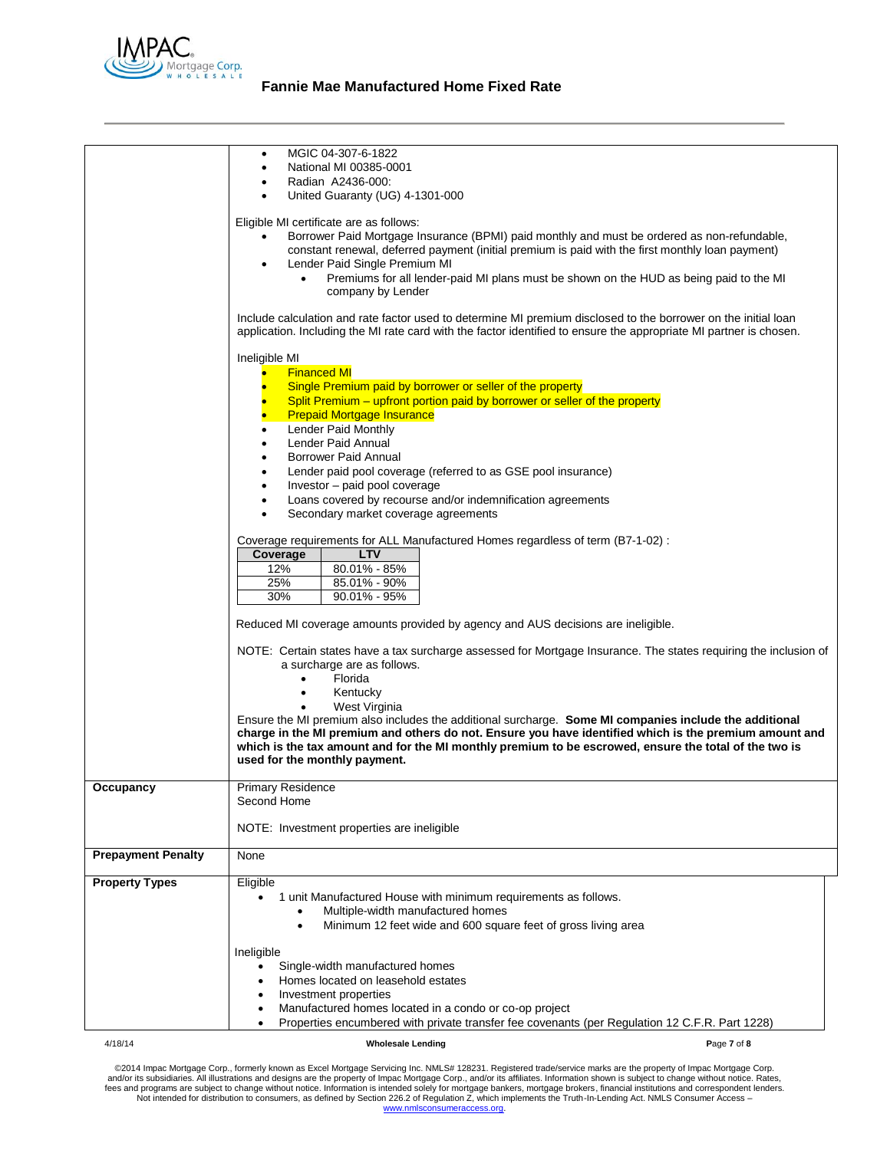

# **Fannie Mae Manufactured Home Fixed Rate**

|                           | MGIC 04-307-6-1822<br>$\bullet$<br>National MI 00385-0001<br>$\bullet$<br>Radian A2436-000:<br>United Guaranty (UG) 4-1301-000                                                                                                                                                                                                                                                                                                                                                                                                                                                                                                                                                                                                                                                                                                  |
|---------------------------|---------------------------------------------------------------------------------------------------------------------------------------------------------------------------------------------------------------------------------------------------------------------------------------------------------------------------------------------------------------------------------------------------------------------------------------------------------------------------------------------------------------------------------------------------------------------------------------------------------------------------------------------------------------------------------------------------------------------------------------------------------------------------------------------------------------------------------|
|                           | Eligible MI certificate are as follows:<br>Borrower Paid Mortgage Insurance (BPMI) paid monthly and must be ordered as non-refundable,<br>$\bullet$<br>constant renewal, deferred payment (initial premium is paid with the first monthly loan payment)<br>Lender Paid Single Premium MI<br>$\bullet$<br>Premiums for all lender-paid MI plans must be shown on the HUD as being paid to the MI<br>$\bullet$<br>company by Lender                                                                                                                                                                                                                                                                                                                                                                                               |
|                           | Include calculation and rate factor used to determine MI premium disclosed to the borrower on the initial loan<br>application. Including the MI rate card with the factor identified to ensure the appropriate MI partner is chosen.                                                                                                                                                                                                                                                                                                                                                                                                                                                                                                                                                                                            |
|                           | Ineligible MI<br><b>Financed MI</b><br>Single Premium paid by borrower or seller of the property<br>Split Premium – upfront portion paid by borrower or seller of the property<br><b>Prepaid Mortgage Insurance</b><br>Lender Paid Monthly<br>Lender Paid Annual<br>Borrower Paid Annual<br>$\bullet$<br>Lender paid pool coverage (referred to as GSE pool insurance)<br>$\bullet$<br>Investor - paid pool coverage<br>$\bullet$<br>Loans covered by recourse and/or indemnification agreements<br>Secondary market coverage agreements<br>$\bullet$<br>Coverage requirements for ALL Manufactured Homes regardless of term (B7-1-02) :<br><b>LTV</b><br>Coverage<br>12%<br>80.01% - 85%<br>25%<br>85.01% - 90%<br>30%<br>$90.01\% - 95\%$<br>Reduced MI coverage amounts provided by agency and AUS decisions are ineligible. |
|                           | NOTE: Certain states have a tax surcharge assessed for Mortgage Insurance. The states requiring the inclusion of<br>a surcharge are as follows.<br>Florida<br>$\bullet$<br>Kentucky<br>$\bullet$<br>West Virginia<br>Ensure the MI premium also includes the additional surcharge. Some MI companies include the additional<br>charge in the MI premium and others do not. Ensure you have identified which is the premium amount and<br>which is the tax amount and for the MI monthly premium to be escrowed, ensure the total of the two is                                                                                                                                                                                                                                                                                  |
|                           | used for the monthly payment.                                                                                                                                                                                                                                                                                                                                                                                                                                                                                                                                                                                                                                                                                                                                                                                                   |
| Occupancy                 | <b>Primary Residence</b><br>Second Home<br>NOTE: Investment properties are ineligible                                                                                                                                                                                                                                                                                                                                                                                                                                                                                                                                                                                                                                                                                                                                           |
| <b>Prepayment Penalty</b> | None                                                                                                                                                                                                                                                                                                                                                                                                                                                                                                                                                                                                                                                                                                                                                                                                                            |
| <b>Property Types</b>     | Eligible<br>1 unit Manufactured House with minimum requirements as follows.<br>Multiple-width manufactured homes<br>Minimum 12 feet wide and 600 square feet of gross living area                                                                                                                                                                                                                                                                                                                                                                                                                                                                                                                                                                                                                                               |
|                           | Ineligible<br>Single-width manufactured homes<br>$\bullet$<br>Homes located on leasehold estates<br>Investment properties<br>Manufactured homes located in a condo or co-op project<br>٠<br>Properties encumbered with private transfer fee covenants (per Regulation 12 C.F.R. Part 1228)                                                                                                                                                                                                                                                                                                                                                                                                                                                                                                                                      |
| 4/18/14                   | <b>Wholesale Lending</b><br>Page 7 of 8                                                                                                                                                                                                                                                                                                                                                                                                                                                                                                                                                                                                                                                                                                                                                                                         |